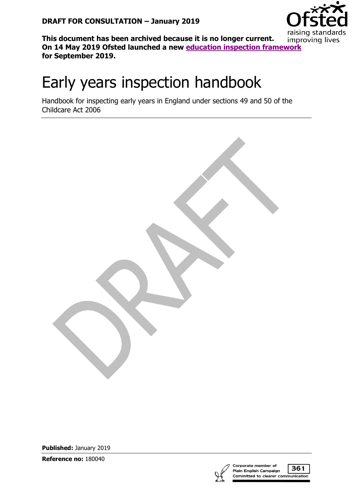

**This document has been archived because it is no longer current. On 14 May 2019 Ofsted launched a new [education inspection framework](https://www.gov.uk/government/collections/education-inspection-framework) for September 2019.**

# Early years inspection handbook

Handbook for inspecting early years in England under sections 49 and 50 of the Childcare Act 2006

**Published:** January 2019

**Reference no:** 180040



361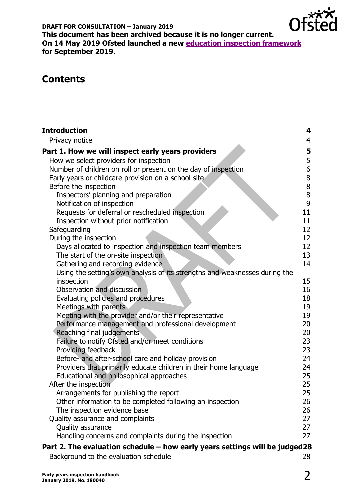

# **Contents**

| <b>Introduction</b>                                                            | 4              |
|--------------------------------------------------------------------------------|----------------|
| Privacy notice                                                                 | $\overline{4}$ |
| Part 1. How we will inspect early years providers                              | 5              |
| How we select providers for inspection                                         | 5              |
| Number of children on roll or present on the day of inspection                 | 6              |
| Early years or childcare provision on a school site                            | 8              |
| Before the inspection                                                          | $\bf 8$        |
| Inspectors' planning and preparation                                           | $\bf 8$        |
| Notification of inspection                                                     | 9              |
| Requests for deferral or rescheduled inspection                                | 11             |
| Inspection without prior notification                                          | 11             |
| Safeguarding                                                                   | 12             |
| During the inspection                                                          | 12             |
| Days allocated to inspection and inspection team members                       | 12             |
| The start of the on-site inspection                                            | 13             |
| Gathering and recording evidence                                               | 14             |
| Using the setting's own analysis of its strengths and weaknesses during the    |                |
| inspection                                                                     | 15             |
| Observation and discussion                                                     | 16             |
| Evaluating policies and procedures                                             | 18<br>19       |
| Meetings with parents<br>Meeting with the provider and/or their representative | 19             |
| Performance management and professional development                            | 20             |
| Reaching final judgements                                                      | 20             |
| Failure to notify Ofsted and/or meet conditions                                | 23             |
| Providing feedback                                                             | 23             |
| Before- and after-school care and holiday provision                            | 24             |
| Providers that primarily educate children in their home language               | 24             |
| Educational and philosophical approaches                                       | 25             |
| After the inspection                                                           | 25             |
| Arrangements for publishing the report                                         | 25             |
| Other information to be completed following an inspection                      | 26             |
| The inspection evidence base                                                   | 26             |
| Quality assurance and complaints                                               | 27             |
| Quality assurance                                                              | 27             |
| Handling concerns and complaints during the inspection                         | 27             |
| Part 2. The evaluation schedule – how early years settings will be judged 28   |                |
| Background to the evaluation schedule                                          | 28             |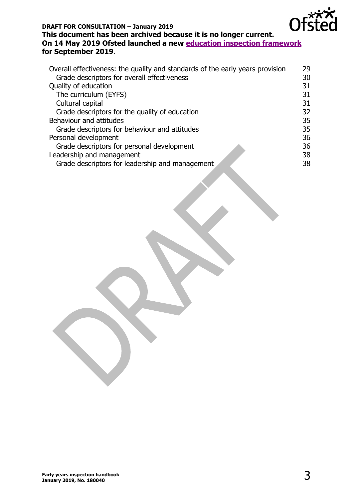

### **DRAFT FOR CONSULTATION – January 2019**

#### **This document has been archived because it is no longer current. On 14 May 2019 Ofsted launched a new [education inspection framework](https://www.gov.uk/government/collections/education-inspection-framework) for September 2019**.

| Overall effectiveness: the quality and standards of the early years provision | 29 |
|-------------------------------------------------------------------------------|----|
| Grade descriptors for overall effectiveness                                   | 30 |
| Quality of education                                                          | 31 |
| The curriculum (EYFS)                                                         | 31 |
| Cultural capital                                                              | 31 |
| Grade descriptors for the quality of education                                | 32 |
| Behaviour and attitudes                                                       | 35 |
| Grade descriptors for behaviour and attitudes                                 | 35 |
| Personal development                                                          | 36 |
| Grade descriptors for personal development                                    | 36 |
| Leadership and management                                                     | 38 |
| Grade descriptors for leadership and management                               | 38 |
|                                                                               |    |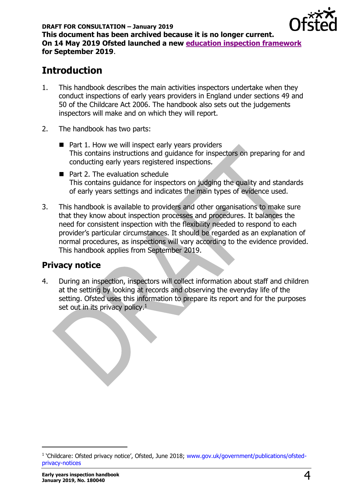

# <span id="page-3-0"></span>**Introduction**

- 1. This handbook describes the main activities inspectors undertake when they conduct inspections of early years providers in England under sections 49 and 50 of the Childcare Act 2006. The handbook also sets out the judgements inspectors will make and on which they will report.
- 2. The handbook has two parts:
	- Part 1. How we will inspect early years providers This contains instructions and guidance for inspectors on preparing for and conducting early years registered inspections.
	- Part 2. The evaluation schedule This contains guidance for inspectors on judging the quality and standards of early years settings and indicates the main types of evidence used.
- 3. This handbook is available to providers and other organisations to make sure that they know about inspection processes and procedures. It balances the need for consistent inspection with the flexibility needed to respond to each provider's particular circumstances. It should be regarded as an explanation of normal procedures, as inspections will vary according to the evidence provided. This handbook applies from September 2019.

# <span id="page-3-1"></span>**Privacy notice**

4. During an inspection, inspectors will collect information about staff and children at the setting by looking at records and observing the everyday life of the setting. Ofsted uses this information to prepare its report and for the purposes set out in its privacy policy.<sup>1</sup>

<sup>&</sup>lt;sup>1</sup> 'Childcare: Ofsted privacy notice', Ofsted, June 2018; [www.gov.uk/government/publications/ofsted](https://www.gov.uk/government/publications/ofsted-privacy-notices)[privacy-notices](https://www.gov.uk/government/publications/ofsted-privacy-notices)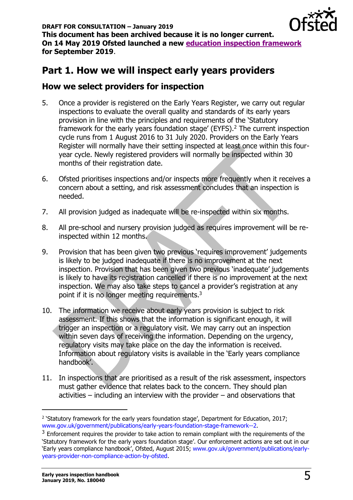# <span id="page-4-0"></span>**Part 1. How we will inspect early years providers**

# <span id="page-4-1"></span>**How we select providers for inspection**

- 5. Once a provider is registered on the Early Years Register, we carry out regular inspections to evaluate the overall quality and standards of its early years provision in line with the principles and requirements of the 'Statutory framework for the early years foundation stage' (EYFS).<sup>2</sup> The current inspection cycle runs from 1 August 2016 to 31 July 2020. Providers on the Early Years Register will normally have their setting inspected at least once within this fouryear cycle. Newly registered providers will normally be inspected within 30 months of their registration date.
- 6. Ofsted prioritises inspections and/or inspects more frequently when it receives a concern about a setting, and risk assessment concludes that an inspection is needed.
- 7. All provision judged as inadequate will be re-inspected within six months.
- 8. All pre-school and nursery provision judged as requires improvement will be reinspected within 12 months.
- 9. Provision that has been given two previous 'requires improvement' judgements is likely to be judged inadequate if there is no improvement at the next inspection. Provision that has been given two previous 'inadequate' judgements is likely to have its registration cancelled if there is no improvement at the next inspection. We may also take steps to cancel a provider's registration at any point if it is no longer meeting requirements.<sup>3</sup>
- 10. The information we receive about early years provision is subject to risk assessment. If this shows that the information is significant enough, it will trigger an inspection or a regulatory visit. We may carry out an inspection within seven days of receiving the information. Depending on the urgency, regulatory visits may take place on the day the information is received. Information about regulatory visits is available in the 'Early years compliance handbook'.
- 11. In inspections that are prioritised as a result of the risk assessment, inspectors must gather evidence that relates back to the concern. They should plan activities – including an interview with the provider – and observations that

 $\overline{a}$ 

<sup>&</sup>lt;sup>2</sup> 'Statutory framework for the early years foundation stage', Department for Education, 2017; [www.gov.uk/government/publications/early-years-foundation-stage-framework--2.](http://www.gov.uk/government/publications/early-years-foundation-stage-framework--2)

<sup>&</sup>lt;sup>3</sup> Enforcement requires the provider to take action to remain compliant with the requirements of the 'Statutory framework for the early years foundation stage'. Our enforcement actions are set out in our 'Early years compliance handbook', Ofsted, August 2015; [www.gov.uk/government/publications/early](https://www.gov.uk/government/publications/early-years-provider-non-compliance-action-by-ofsted)[years-provider-non-compliance-action-by-ofsted.](https://www.gov.uk/government/publications/early-years-provider-non-compliance-action-by-ofsted)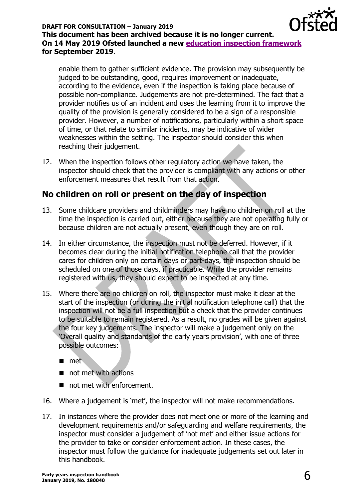

enable them to gather sufficient evidence. The provision may subsequently be judged to be outstanding, good, requires improvement or inadequate, according to the evidence, even if the inspection is taking place because of possible non-compliance. Judgements are not pre-determined. The fact that a provider notifies us of an incident and uses the learning from it to improve the quality of the provision is generally considered to be a sign of a responsible provider. However, a number of notifications, particularly within a short space of time, or that relate to similar incidents, may be indicative of wider weaknesses within the setting. The inspector should consider this when reaching their judgement.

12. When the inspection follows other regulatory action we have taken, the inspector should check that the provider is compliant with any actions or other enforcement measures that result from that action.

# <span id="page-5-0"></span>**No children on roll or present on the day of inspection**

- 13. Some childcare providers and childminders may have no children on roll at the time the inspection is carried out, either because they are not operating fully or because children are not actually present, even though they are on roll.
- 14. In either circumstance, the inspection must not be deferred. However, if it becomes clear during the initial notification telephone call that the provider cares for children only on certain days or part-days, the inspection should be scheduled on one of those days, if practicable. While the provider remains registered with us, they should expect to be inspected at any time.
- 15. Where there are no children on roll, the inspector must make it clear at the start of the inspection (or during the initial notification telephone call) that the inspection will not be a full inspection but a check that the provider continues to be suitable to remain registered. As a result, no grades will be given against the four key judgements. The inspector will make a judgement only on the 'Overall quality and standards of the early years provision', with one of three possible outcomes:
	- met
	- $\blacksquare$  not met with actions
	- not met with enforcement.
- 16. Where a judgement is 'met', the inspector will not make recommendations.
- 17. In instances where the provider does not meet one or more of the learning and development requirements and/or safeguarding and welfare requirements, the inspector must consider a judgement of 'not met' and either issue actions for the provider to take or consider enforcement action. In these cases, the inspector must follow the guidance for inadequate judgements set out later in this handbook.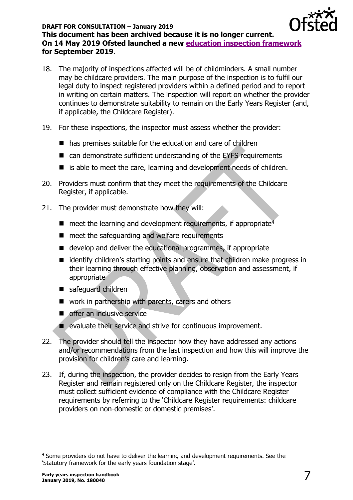

- 18. The majority of inspections affected will be of childminders. A small number may be childcare providers. The main purpose of the inspection is to fulfil our legal duty to inspect registered providers within a defined period and to report in writing on certain matters. The inspection will report on whether the provider continues to demonstrate suitability to remain on the Early Years Register (and, if applicable, the Childcare Register).
- 19. For these inspections, the inspector must assess whether the provider:
	- has premises suitable for the education and care of children
	- can demonstrate sufficient understanding of the EYFS requirements
	- is able to meet the care, learning and development needs of children.
- 20. Providers must confirm that they meet the requirements of the Childcare Register, if applicable.
- 21. The provider must demonstrate how they will:
	- $\blacksquare$  meet the learning and development requirements, if appropriate<sup> $\bar{4}$ </sup>
	- meet the safeguarding and welfare requirements
	- develop and deliver the educational programmes, if appropriate
	- identify children's starting points and ensure that children make progress in their learning through effective planning, observation and assessment, if appropriate
	- safeguard children
	- work in partnership with parents, carers and others
	- offer an inclusive service
	- evaluate their service and strive for continuous improvement.
- 22. The provider should tell the inspector how they have addressed any actions and/or recommendations from the last inspection and how this will improve the provision for children's care and learning.
- 23. If, during the inspection, the provider decides to resign from the Early Years Register and remain registered only on the Childcare Register, the inspector must collect sufficient evidence of compliance with the Childcare Register requirements by referring to the 'Childcare Register requirements: childcare providers on non-domestic or domestic premises'.

<sup>&</sup>lt;sup>4</sup> Some providers do not have to deliver the learning and development requirements. See the 'Statutory framework for the early years foundation stage'.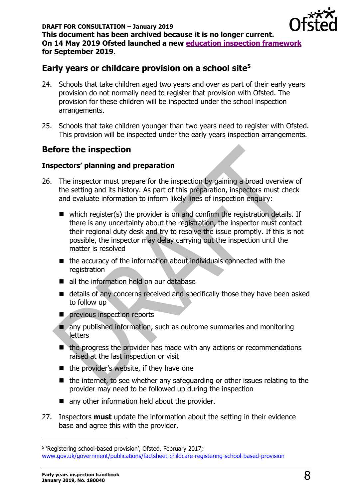

# <span id="page-7-0"></span>**Early years or childcare provision on a school site<sup>5</sup>**

- 24. Schools that take children aged two years and over as part of their early years provision do not normally need to register that provision with Ofsted. The provision for these children will be inspected under the school inspection arrangements.
- 25. Schools that take children younger than two years need to register with Ofsted. This provision will be inspected under the early years inspection arrangements.

# <span id="page-7-1"></span>**Before the inspection**

### <span id="page-7-2"></span>**Inspectors' planning and preparation**

- 26. The inspector must prepare for the inspection by gaining a broad overview of the setting and its history. As part of this preparation, inspectors must check and evaluate information to inform likely lines of inspection enquiry:
	- which register(s) the provider is on and confirm the registration details. If there is any uncertainty about the registration, the inspector must contact their regional duty desk and try to resolve the issue promptly. If this is not possible, the inspector may delay carrying out the inspection until the matter is resolved
	- the accuracy of the information about individuals connected with the registration
	- all the information held on our database
	- details of any concerns received and specifically those they have been asked to follow up
	- previous inspection reports
	- any published information, such as outcome summaries and monitoring letters
	- the progress the provider has made with any actions or recommendations raised at the last inspection or visit
	- the provider's website, if they have one
	- the internet, to see whether any safeguarding or other issues relating to the provider may need to be followed up during the inspection
	- any other information held about the provider.
- 27. Inspectors **must** update the information about the setting in their evidence base and agree this with the provider.

-

<sup>&</sup>lt;sup>5</sup> 'Registering school-based provision', Ofsted, February 2017;

[www.gov.uk/government/publications/factsheet-childcare-registering-school-based-provision](https://www.gov.uk/government/publications/factsheet-childcare-registering-school-based-provision)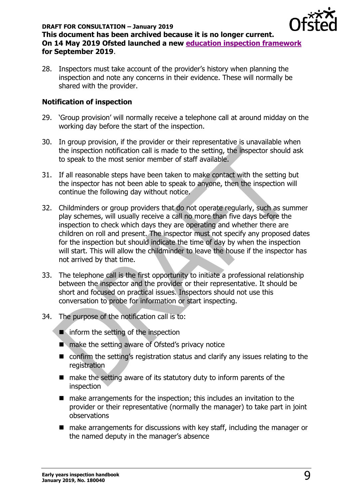

28. Inspectors must take account of the provider's history when planning the inspection and note any concerns in their evidence. These will normally be shared with the provider.

### <span id="page-8-0"></span>**Notification of inspection**

- 29. 'Group provision' will normally receive a telephone call at around midday on the working day before the start of the inspection.
- 30. In group provision, if the provider or their representative is unavailable when the inspection notification call is made to the setting, the inspector should ask to speak to the most senior member of staff available.
- 31. If all reasonable steps have been taken to make contact with the setting but the inspector has not been able to speak to anyone, then the inspection will continue the following day without notice.
- 32. Childminders or group providers that do not operate regularly, such as summer play schemes, will usually receive a call no more than five days before the inspection to check which days they are operating and whether there are children on roll and present. The inspector must not specify any proposed dates for the inspection but should indicate the time of day by when the inspection will start. This will allow the childminder to leave the house if the inspector has not arrived by that time.
- 33. The telephone call is the first opportunity to initiate a professional relationship between the inspector and the provider or their representative. It should be short and focused on practical issues. Inspectors should not use this conversation to probe for information or start inspecting.
- 34. The purpose of the notification call is to:

■ inform the setting of the inspection

- make the setting aware of Ofsted's privacy notice
- confirm the setting's registration status and clarify any issues relating to the registration
- make the setting aware of its statutory duty to inform parents of the inspection
- make arrangements for the inspection; this includes an invitation to the provider or their representative (normally the manager) to take part in joint observations
- make arrangements for discussions with key staff, including the manager or the named deputy in the manager's absence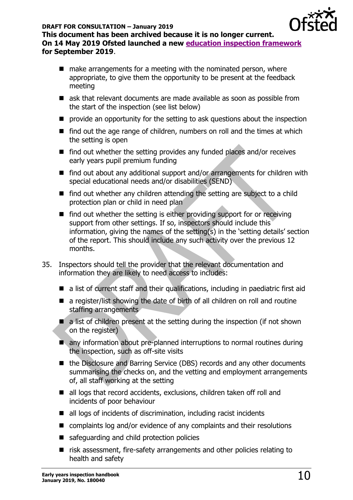

- $\blacksquare$  make arrangements for a meeting with the nominated person, where appropriate, to give them the opportunity to be present at the feedback meeting
- ask that relevant documents are made available as soon as possible from the start of the inspection (see list below)
- provide an opportunity for the setting to ask questions about the inspection
- find out the age range of children, numbers on roll and the times at which the setting is open
- find out whether the setting provides any funded places and/or receives early years pupil premium funding
- find out about any additional support and/or arrangements for children with special educational needs and/or disabilities (SEND)
- find out whether any children attending the setting are subject to a child protection plan or child in need plan
- find out whether the setting is either providing support for or receiving support from other settings. If so, inspectors should include this information, giving the names of the setting(s) in the 'setting details' section of the report. This should include any such activity over the previous 12 months.
- 35. Inspectors should tell the provider that the relevant documentation and information they are likely to need access to includes:
	- a list of current staff and their qualifications, including in paediatric first aid
	- a register/list showing the date of birth of all children on roll and routine staffing arrangements
	- $\blacksquare$  a list of children present at the setting during the inspection (if not shown on the register)
	- any information about pre-planned interruptions to normal routines during the inspection, such as off-site visits
	- the Disclosure and Barring Service (DBS) records and any other documents summarising the checks on, and the vetting and employment arrangements of, all staff working at the setting
	- all logs that record accidents, exclusions, children taken off roll and incidents of poor behaviour
	- all logs of incidents of discrimination, including racist incidents
	- complaints log and/or evidence of any complaints and their resolutions
	- safeguarding and child protection policies
	- risk assessment, fire-safety arrangements and other policies relating to health and safety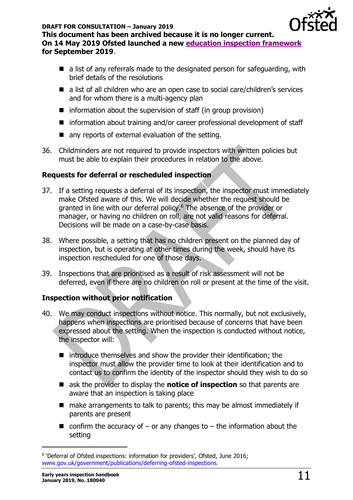

- $\blacksquare$  a list of any referrals made to the designated person for safeguarding, with brief details of the resolutions
- a list of all children who are an open case to social care/children's services and for whom there is a multi-agency plan
- $\blacksquare$  information about the supervision of staff (in group provision)
- information about training and/or career professional development of staff
- any reports of external evaluation of the setting.
- 36. Childminders are not required to provide inspectors with written policies but must be able to explain their procedures in relation to the above.

# <span id="page-10-0"></span>**Requests for deferral or rescheduled inspection**

- 37. If a setting requests a deferral of its inspection, the inspector must immediately make Ofsted aware of this. We will decide whether the request should be granted in line with our deferral policy.<sup>6</sup> The absence of the provider or manager, or having no children on roll, are not valid reasons for deferral. Decisions will be made on a case-by-case basis.
- 38. Where possible, a setting that has no children present on the planned day of inspection, but is operating at other times during the week, should have its inspection rescheduled for one of those days.
- 39. Inspections that are prioritised as a result of risk assessment will not be deferred, even if there are no children on roll or present at the time of the visit.

# <span id="page-10-1"></span>**Inspection without prior notification**

- 40. We may conduct inspections without notice. This normally, but not exclusively, happens when inspections are prioritised because of concerns that have been expressed about the setting. When the inspection is conducted without notice, the inspector will:
	- introduce themselves and show the provider their identification; the inspector must allow the provider time to look at their identification and to contact us to confirm the identity of the inspector should they wish to do so
	- ask the provider to display the **notice of inspection** so that parents are aware that an inspection is taking place
	- make arrangements to talk to parents; this may be almost immediately if parents are present
	- confirm the accuracy of  $-$  or any changes to  $-$  the information about the setting

<sup>&</sup>lt;sup>6</sup> 'Deferral of Ofsted inspections: information for providers', Ofsted, June 2016; [www.gov.uk/government/publications/deferring-ofsted-inspections.](http://www.gov.uk/government/publications/deferring-ofsted-inspections)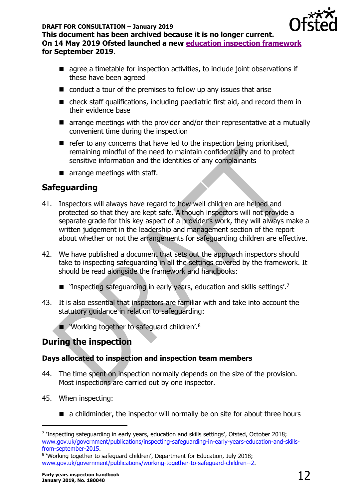

**This document has been archived because it is no longer current. On 14 May 2019 Ofsted launched a new [education inspection framework](https://www.gov.uk/government/collections/education-inspection-framework) for September 2019**.

- agree a timetable for inspection activities, to include joint observations if these have been agreed
- conduct a tour of the premises to follow up any issues that arise
- check staff qualifications, including paediatric first aid, and record them in their evidence base
- arrange meetings with the provider and/or their representative at a mutually convenient time during the inspection
- $\blacksquare$  refer to any concerns that have led to the inspection being prioritised, remaining mindful of the need to maintain confidentiality and to protect sensitive information and the identities of any complainants
- $\blacksquare$  arrange meetings with staff.

# <span id="page-11-0"></span>**Safeguarding**

- 41. Inspectors will always have regard to how well children are helped and protected so that they are kept safe. Although inspectors will not provide a separate grade for this key aspect of a provider's work, they will always make a written judgement in the leadership and management section of the report about whether or not the arrangements for safeguarding children are effective.
- 42. We have published a document that sets out the approach inspectors should take to inspecting safeguarding in all the settings covered by the framework. It should be read alongside the framework and handbooks:
	- 'Inspecting safeguarding in early years, education and skills settings'.<sup>7</sup>
- 43. It is also essential that inspectors are familiar with and take into account the statutory guidance in relation to safeguarding:

■ 'Working together to safeguard children'.<sup>8</sup>

# <span id="page-11-1"></span>**During the inspection**

### <span id="page-11-2"></span>**Days allocated to inspection and inspection team members**

- 44. The time spent on inspection normally depends on the size of the provision. Most inspections are carried out by one inspector.
- 45. When inspecting:

 $\overline{a}$ 

■ a childminder, the inspector will normally be on site for about three hours

<sup>&</sup>lt;sup>7</sup> 'Inspecting safeguarding in early years, education and skills settings', Ofsted, October 2018; [www.gov.uk/government/publications/inspecting-safeguarding-in-early-years-education-and-skills](http://www.gov.uk/government/publications/inspecting-safeguarding-in-early-years-education-and-skills-from-september-2015)[from-september-2015.](http://www.gov.uk/government/publications/inspecting-safeguarding-in-early-years-education-and-skills-from-september-2015)

<sup>&</sup>lt;sup>8</sup> 'Working together to safeguard children', Department for Education, July 2018; [www.gov.uk/government/publications/working-together-to-safeguard-children--2.](http://www.gov.uk/government/publications/working-together-to-safeguard-children--2)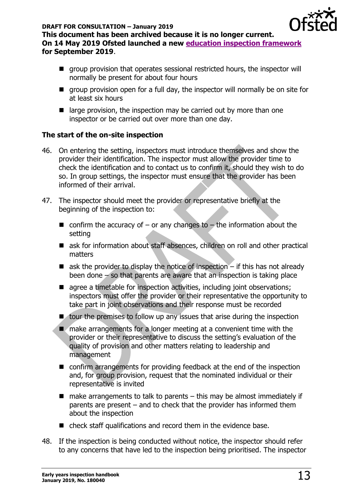

- group provision that operates sessional restricted hours, the inspector will normally be present for about four hours
- $\blacksquare$  group provision open for a full day, the inspector will normally be on site for at least six hours
- $\blacksquare$  large provision, the inspection may be carried out by more than one inspector or be carried out over more than one day.

# <span id="page-12-0"></span>**The start of the on-site inspection**

- 46. On entering the setting, inspectors must introduce themselves and show the provider their identification. The inspector must allow the provider time to check the identification and to contact us to confirm it, should they wish to do so. In group settings, the inspector must ensure that the provider has been informed of their arrival.
- 47. The inspector should meet the provider or representative briefly at the beginning of the inspection to:
	- confirm the accuracy of  $-$  or any changes to  $-$  the information about the setting
	- ask for information about staff absences, children on roll and other practical matters
	- $\blacksquare$  ask the provider to display the notice of inspection  $-$  if this has not already been done  $\sim$  so that parents are aware that an inspection is taking place
	- agree a timetable for inspection activities, including joint observations; inspectors must offer the provider or their representative the opportunity to take part in joint observations and their response must be recorded
	- tour the premises to follow up any issues that arise during the inspection
	- make arrangements for a longer meeting at a convenient time with the provider or their representative to discuss the setting's evaluation of the quality of provision and other matters relating to leadership and management
	- confirm arrangements for providing feedback at the end of the inspection and, for group provision, request that the nominated individual or their representative is invited
	- $\blacksquare$  make arrangements to talk to parents this may be almost immediately if parents are present – and to check that the provider has informed them about the inspection
	- check staff qualifications and record them in the evidence base.
- 48. If the inspection is being conducted without notice, the inspector should refer to any concerns that have led to the inspection being prioritised. The inspector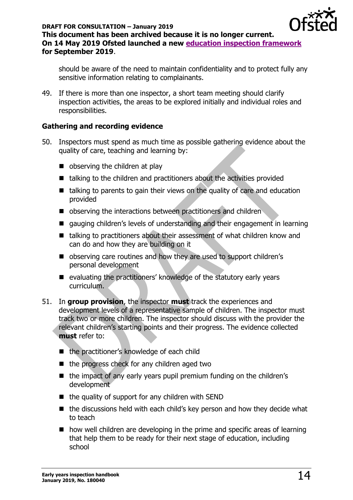

should be aware of the need to maintain confidentiality and to protect fully any sensitive information relating to complainants.

49. If there is more than one inspector, a short team meeting should clarify inspection activities, the areas to be explored initially and individual roles and responsibilities.

### <span id="page-13-0"></span>**Gathering and recording evidence**

- 50. Inspectors must spend as much time as possible gathering evidence about the quality of care, teaching and learning by:
	- observing the children at play
	- talking to the children and practitioners about the activities provided
	- talking to parents to gain their views on the quality of care and education provided
	- observing the interactions between practitioners and children
	- gauging children's levels of understanding and their engagement in learning
	- talking to practitioners about their assessment of what children know and can do and how they are building on it
	- observing care routines and how they are used to support children's personal development
	- evaluating the practitioners' knowledge of the statutory early years curriculum.
- 51. In **group provision**, the inspector **must** track the experiences and development levels of a representative sample of children. The inspector must track two or more children. The inspector should discuss with the provider the relevant children's starting points and their progress. The evidence collected **must** refer to:
	- the practitioner's knowledge of each child
	- the progress check for any children aged two
	- the impact of any early years pupil premium funding on the children's development
	- $\blacksquare$  the quality of support for any children with SEND
	- the discussions held with each child's key person and how they decide what to teach
	- how well children are developing in the prime and specific areas of learning that help them to be ready for their next stage of education, including school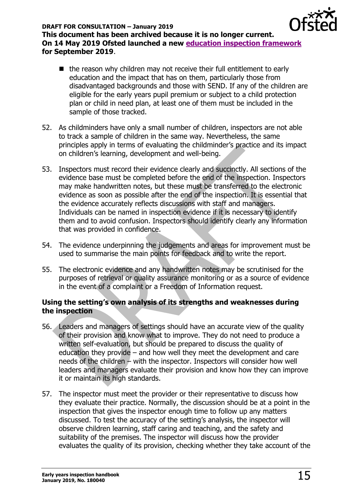

- the reason why children may not receive their full entitlement to early education and the impact that has on them, particularly those from disadvantaged backgrounds and those with SEND. If any of the children are eligible for the early years pupil premium or subject to a child protection plan or child in need plan, at least one of them must be included in the sample of those tracked.
- 52. As childminders have only a small number of children, inspectors are not able to track a sample of children in the same way. Nevertheless, the same principles apply in terms of evaluating the childminder's practice and its impact on children's learning, development and well-being.
- 53. Inspectors must record their evidence clearly and succinctly. All sections of the evidence base must be completed before the end of the inspection. Inspectors may make handwritten notes, but these must be transferred to the electronic evidence as soon as possible after the end of the inspection. It is essential that the evidence accurately reflects discussions with staff and managers. Individuals can be named in inspection evidence if it is necessary to identify them and to avoid confusion. Inspectors should identify clearly any information that was provided in confidence.
- 54. The evidence underpinning the judgements and areas for improvement must be used to summarise the main points for feedback and to write the report.
- 55. The electronic evidence and any handwritten notes may be scrutinised for the purposes of retrieval or quality assurance monitoring or as a source of evidence in the event of a complaint or a Freedom of Information request.

### <span id="page-14-0"></span>**Using the setting's own analysis of its strengths and weaknesses during the inspection**

- 56. Leaders and managers of settings should have an accurate view of the quality of their provision and know what to improve. They do not need to produce a written self-evaluation, but should be prepared to discuss the quality of education they provide – and how well they meet the development and care needs of the children – with the inspector. Inspectors will consider how well leaders and managers evaluate their provision and know how they can improve it or maintain its high standards.
- 57. The inspector must meet the provider or their representative to discuss how they evaluate their practice. Normally, the discussion should be at a point in the inspection that gives the inspector enough time to follow up any matters discussed. To test the accuracy of the setting's analysis, the inspector will observe children learning, staff caring and teaching, and the safety and suitability of the premises. The inspector will discuss how the provider evaluates the quality of its provision, checking whether they take account of the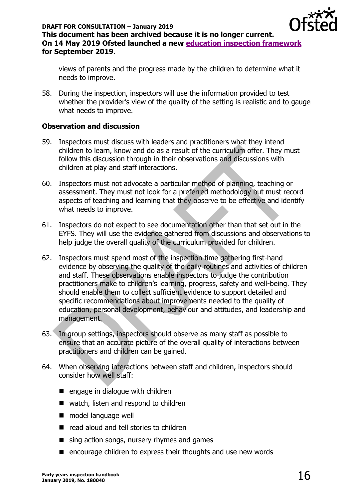

views of parents and the progress made by the children to determine what it needs to improve.

58. During the inspection, inspectors will use the information provided to test whether the provider's view of the quality of the setting is realistic and to gauge what needs to improve.

### <span id="page-15-0"></span>**Observation and discussion**

- 59. Inspectors must discuss with leaders and practitioners what they intend children to learn, know and do as a result of the curriculum offer. They must follow this discussion through in their observations and discussions with children at play and staff interactions.
- 60. Inspectors must not advocate a particular method of planning, teaching or assessment. They must not look for a preferred methodology but must record aspects of teaching and learning that they observe to be effective and identify what needs to improve.
- 61. Inspectors do not expect to see documentation other than that set out in the EYFS. They will use the evidence gathered from discussions and observations to help judge the overall quality of the curriculum provided for children.
- 62. Inspectors must spend most of the inspection time gathering first-hand evidence by observing the quality of the daily routines and activities of children and staff. These observations enable inspectors to judge the contribution practitioners make to children's learning, progress, safety and well-being. They should enable them to collect sufficient evidence to support detailed and specific recommendations about improvements needed to the quality of education, personal development, behaviour and attitudes, and leadership and management.
- 63. In group settings, inspectors should observe as many staff as possible to ensure that an accurate picture of the overall quality of interactions between practitioners and children can be gained.
- 64. When observing interactions between staff and children, inspectors should consider how well staff:
	- engage in dialogue with children
	- watch, listen and respond to children
	- model language well
	- read aloud and tell stories to children
	- $\blacksquare$  sing action songs, nursery rhymes and games
	- encourage children to express their thoughts and use new words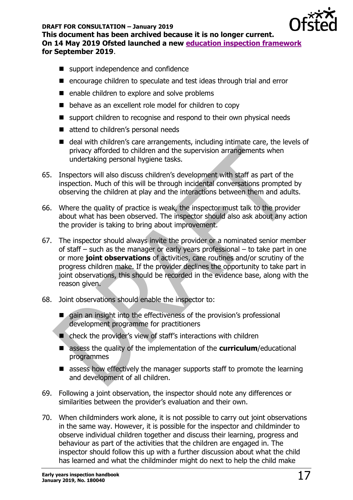

#### **DRAFT FOR CONSULTATION – January 2019**

**This document has been archived because it is no longer current. On 14 May 2019 Ofsted launched a new [education inspection framework](https://www.gov.uk/government/collections/education-inspection-framework) for September 2019**.

- support independence and confidence
- encourage children to speculate and test ideas through trial and error
- enable children to explore and solve problems
- behave as an excellent role model for children to copy
- support children to recognise and respond to their own physical needs
- attend to children's personal needs
- deal with children's care arrangements, including intimate care, the levels of privacy afforded to children and the supervision arrangements when undertaking personal hygiene tasks.
- 65. Inspectors will also discuss children's development with staff as part of the inspection. Much of this will be through incidental conversations prompted by observing the children at play and the interactions between them and adults.
- 66. Where the quality of practice is weak, the inspector must talk to the provider about what has been observed. The inspector should also ask about any action the provider is taking to bring about improvement.
- 67. The inspector should always invite the provider or a nominated senior member of staff – such as the manager or early years professional – to take part in one or more **joint observations** of activities, care routines and/or scrutiny of the progress children make. If the provider declines the opportunity to take part in joint observations, this should be recorded in the evidence base, along with the reason given.
- 68. Joint observations should enable the inspector to:
	- gain an insight into the effectiveness of the provision's professional development programme for practitioners
	- check the provider's view of staff's interactions with children
	- assess the quality of the implementation of the **curriculum**/educational programmes
	- assess how effectively the manager supports staff to promote the learning and development of all children.
- 69. Following a joint observation, the inspector should note any differences or similarities between the provider's evaluation and their own.
- 70. When childminders work alone, it is not possible to carry out joint observations in the same way. However, it is possible for the inspector and childminder to observe individual children together and discuss their learning, progress and behaviour as part of the activities that the children are engaged in. The inspector should follow this up with a further discussion about what the child has learned and what the childminder might do next to help the child make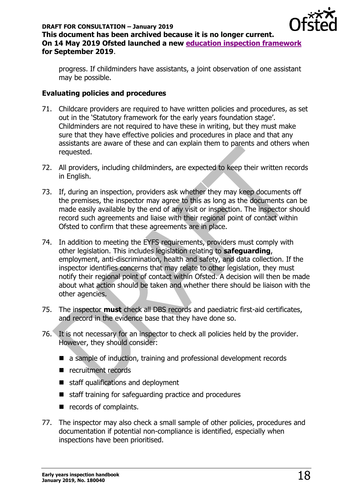

progress. If childminders have assistants, a joint observation of one assistant may be possible.

### <span id="page-17-0"></span>**Evaluating policies and procedures**

- 71. Childcare providers are required to have written policies and procedures, as set out in the 'Statutory framework for the early years foundation stage'. Childminders are not required to have these in writing, but they must make sure that they have effective policies and procedures in place and that any assistants are aware of these and can explain them to parents and others when requested.
- 72. All providers, including childminders, are expected to keep their written records in English.
- 73. If, during an inspection, providers ask whether they may keep documents off the premises, the inspector may agree to this as long as the documents can be made easily available by the end of any visit or inspection. The inspector should record such agreements and liaise with their regional point of contact within Ofsted to confirm that these agreements are in place.
- 74. In addition to meeting the EYFS requirements, providers must comply with other legislation. This includes legislation relating to **safeguarding**, employment, anti-discrimination, health and safety, and data collection. If the inspector identifies concerns that may relate to other legislation, they must notify their regional point of contact within Ofsted. A decision will then be made about what action should be taken and whether there should be liaison with the other agencies.
- 75. The inspector **must** check all DBS records and paediatric first-aid certificates, and record in the evidence base that they have done so.
- 76. It is not necessary for an inspector to check all policies held by the provider. However, they should consider:
	- a sample of induction, training and professional development records
	- recruitment records
	- staff qualifications and deployment
	- staff training for safeguarding practice and procedures
	- records of complaints.
- 77. The inspector may also check a small sample of other policies, procedures and documentation if potential non-compliance is identified, especially when inspections have been prioritised.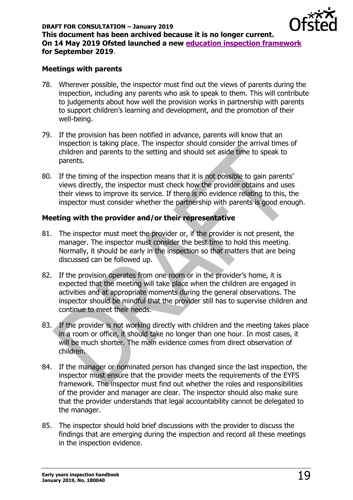

#### <span id="page-18-0"></span>**Meetings with parents**

- 78. Wherever possible, the inspector must find out the views of parents during the inspection, including any parents who ask to speak to them. This will contribute to judgements about how well the provision works in partnership with parents to support children's learning and development, and the promotion of their well-being.
- 79. If the provision has been notified in advance, parents will know that an inspection is taking place. The inspector should consider the arrival times of children and parents to the setting and should set aside time to speak to parents.
- 80. If the timing of the inspection means that it is not possible to gain parents' views directly, the inspector must check how the provider obtains and uses their views to improve its service. If there is no evidence relating to this, the inspector must consider whether the partnership with parents is good enough.

### <span id="page-18-1"></span>**Meeting with the provider and/or their representative**

- 81. The inspector must meet the provider or, if the provider is not present, the manager. The inspector must consider the best time to hold this meeting. Normally, it should be early in the inspection so that matters that are being discussed can be followed up.
- 82. If the provision operates from one room or in the provider's home, it is expected that the meeting will take place when the children are engaged in activities and at appropriate moments during the general observations. The inspector should be mindful that the provider still has to supervise children and continue to meet their needs.
- 83. If the provider is not working directly with children and the meeting takes place in a room or office, it should take no longer than one hour. In most cases, it will be much shorter. The main evidence comes from direct observation of children.
- 84. If the manager or nominated person has changed since the last inspection, the inspector must ensure that the provider meets the requirements of the EYFS framework. The inspector must find out whether the roles and responsibilities of the provider and manager are clear. The inspector should also make sure that the provider understands that legal accountability cannot be delegated to the manager.
- 85. The inspector should hold brief discussions with the provider to discuss the findings that are emerging during the inspection and record all these meetings in the inspection evidence.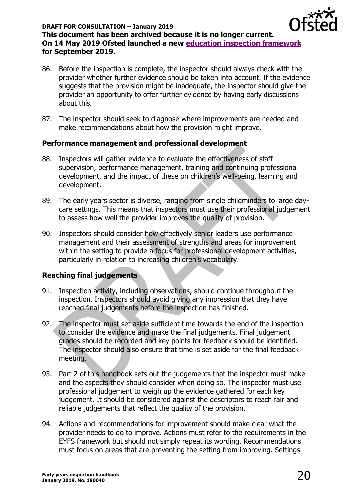

- 86. Before the inspection is complete, the inspector should always check with the provider whether further evidence should be taken into account. If the evidence suggests that the provision might be inadequate, the inspector should give the provider an opportunity to offer further evidence by having early discussions about this.
- 87. The inspector should seek to diagnose where improvements are needed and make recommendations about how the provision might improve.

### <span id="page-19-0"></span>**Performance management and professional development**

- 88. Inspectors will gather evidence to evaluate the effectiveness of staff supervision, performance management, training and continuing professional development, and the impact of these on children's well-being, learning and development.
- 89. The early years sector is diverse, ranging from single childminders to large daycare settings. This means that inspectors must use their professional judgement to assess how well the provider improves the quality of provision.
- 90. Inspectors should consider how effectively senior leaders use performance management and their assessment of strengths and areas for improvement within the setting to provide a focus for professional development activities, particularly in relation to increasing children's vocabulary.

# <span id="page-19-1"></span>**Reaching final judgements**

- 91. Inspection activity, including observations, should continue throughout the inspection. Inspectors should avoid giving any impression that they have reached final judgements before the inspection has finished.
- 92. The inspector must set aside sufficient time towards the end of the inspection to consider the evidence and make the final judgements. Final judgement grades should be recorded and key points for feedback should be identified. The inspector should also ensure that time is set aside for the final feedback meeting.
- 93. Part 2 of this handbook sets out the judgements that the inspector must make and the aspects they should consider when doing so. The inspector must use professional judgement to weigh up the evidence gathered for each key judgement. It should be considered against the descriptors to reach fair and reliable judgements that reflect the quality of the provision.
- 94. Actions and recommendations for improvement should make clear what the provider needs to do to improve. Actions must refer to the requirements in the EYFS framework but should not simply repeat its wording. Recommendations must focus on areas that are preventing the setting from improving. Settings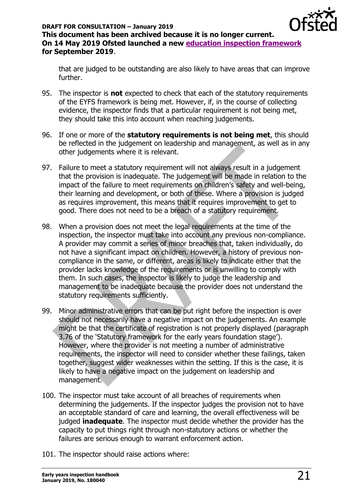

that are judged to be outstanding are also likely to have areas that can improve further.

- 95. The inspector is **not** expected to check that each of the statutory requirements of the EYFS framework is being met. However, if, in the course of collecting evidence, the inspector finds that a particular requirement is not being met, they should take this into account when reaching judgements.
- 96. If one or more of the **statutory requirements is not being met**, this should be reflected in the judgement on leadership and management, as well as in any other judgements where it is relevant.
- 97. Failure to meet a statutory requirement will not always result in a judgement that the provision is inadequate. The judgement will be made in relation to the impact of the failure to meet requirements on children's safety and well-being, their learning and development, or both of these. Where a provision is judged as requires improvement, this means that it requires improvement to get to good. There does not need to be a breach of a statutory requirement.
- 98. When a provision does not meet the legal requirements at the time of the inspection, the inspector must take into account any previous non-compliance. A provider may commit a series of minor breaches that, taken individually, do not have a significant impact on children. However, a history of previous noncompliance in the same, or different, areas is likely to indicate either that the provider lacks knowledge of the requirements or is unwilling to comply with them. In such cases, the inspector is likely to judge the leadership and management to be inadequate because the provider does not understand the statutory requirements sufficiently.
- 99. Minor administrative errors that can be put right before the inspection is over should not necessarily have a negative impact on the judgements. An example might be that the certificate of registration is not properly displayed (paragraph 3.76 of the 'Statutory framework for the early years foundation stage'). However, where the provider is not meeting a number of administrative requirements, the inspector will need to consider whether these failings, taken together, suggest wider weaknesses within the setting. If this is the case, it is likely to have a negative impact on the judgement on leadership and management.
- 100. The inspector must take account of all breaches of requirements when determining the judgements. If the inspector judges the provision not to have an acceptable standard of care and learning, the overall effectiveness will be judged **inadequate**. The inspector must decide whether the provider has the capacity to put things right through non-statutory actions or whether the failures are serious enough to warrant enforcement action.
- 101. The inspector should raise actions where: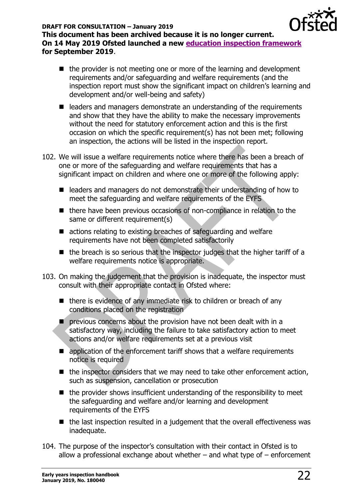

- the provider is not meeting one or more of the learning and development requirements and/or safeguarding and welfare requirements (and the inspection report must show the significant impact on children's learning and development and/or well-being and safety)
- leaders and managers demonstrate an understanding of the requirements and show that they have the ability to make the necessary improvements without the need for statutory enforcement action and this is the first occasion on which the specific requirement(s) has not been met; following an inspection, the actions will be listed in the inspection report.
- 102. We will issue a welfare requirements notice where there has been a breach of one or more of the safeguarding and welfare requirements that has a significant impact on children and where one or more of the following apply:
	- leaders and managers do not demonstrate their understanding of how to meet the safeguarding and welfare requirements of the EYFS
	- there have been previous occasions of non-compliance in relation to the same or different requirement(s)
	- actions relating to existing breaches of safeguarding and welfare requirements have not been completed satisfactorily
	- $\blacksquare$  the breach is so serious that the inspector judges that the higher tariff of a welfare requirements notice is appropriate.
- 103. On making the judgement that the provision is inadequate, the inspector must consult with their appropriate contact in Ofsted where:
	- $\blacksquare$  there is evidence of any immediate risk to children or breach of any conditions placed on the registration
	- $\blacksquare$  previous concerns about the provision have not been dealt with in a satisfactory way, including the failure to take satisfactory action to meet actions and/or welfare requirements set at a previous visit
	- application of the enforcement tariff shows that a welfare requirements notice is required
	- the inspector considers that we may need to take other enforcement action, such as suspension, cancellation or prosecution
	- $\blacksquare$  the provider shows insufficient understanding of the responsibility to meet the safeguarding and welfare and/or learning and development requirements of the EYFS
	- the last inspection resulted in a judgement that the overall effectiveness was inadequate.
- 104. The purpose of the inspector's consultation with their contact in Ofsted is to allow a professional exchange about whether  $-$  and what type of  $-$  enforcement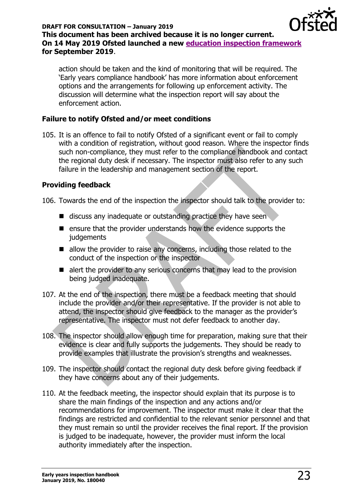

action should be taken and the kind of monitoring that will be required. The 'Early years compliance handbook' has more information about enforcement options and the arrangements for following up enforcement activity. The discussion will determine what the inspection report will say about the enforcement action.

# <span id="page-22-0"></span>**Failure to notify Ofsted and/or meet conditions**

105. It is an offence to fail to notify Ofsted of a significant event or fail to comply with a condition of registration, without good reason. Where the inspector finds such non-compliance, they must refer to the compliance handbook and contact the regional duty desk if necessary. The inspector must also refer to any such failure in the leadership and management section of the report.

# <span id="page-22-1"></span>**Providing feedback**

106. Towards the end of the inspection the inspector should talk to the provider to:

- discuss any inadequate or outstanding practice they have seen
- ensure that the provider understands how the evidence supports the **judgements**
- allow the provider to raise any concerns, including those related to the conduct of the inspection or the inspector
- alert the provider to any serious concerns that may lead to the provision being judged inadequate.
- 107. At the end of the inspection, there must be a feedback meeting that should include the provider and/or their representative. If the provider is not able to attend, the inspector should give feedback to the manager as the provider's representative. The inspector must not defer feedback to another day.
- 108. The inspector should allow enough time for preparation, making sure that their evidence is clear and fully supports the judgements. They should be ready to provide examples that illustrate the provision's strengths and weaknesses.
- 109. The inspector should contact the regional duty desk before giving feedback if they have concerns about any of their judgements.
- 110. At the feedback meeting, the inspector should explain that its purpose is to share the main findings of the inspection and any actions and/or recommendations for improvement. The inspector must make it clear that the findings are restricted and confidential to the relevant senior personnel and that they must remain so until the provider receives the final report. If the provision is judged to be inadequate, however, the provider must inform the local authority immediately after the inspection.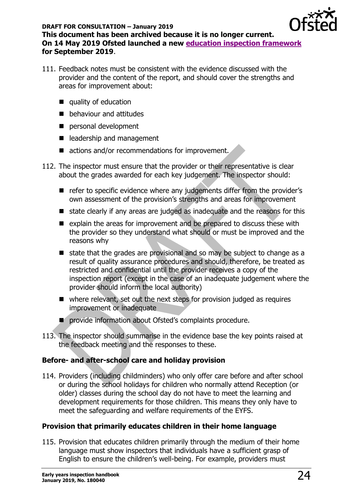

- 111. Feedback notes must be consistent with the evidence discussed with the provider and the content of the report, and should cover the strengths and areas for improvement about:
	- quality of education
	- behaviour and attitudes
	- personal development
	- leadership and management
	- actions and/or recommendations for improvement.
- 112. The inspector must ensure that the provider or their representative is clear about the grades awarded for each key judgement. The inspector should:
	- refer to specific evidence where any judgements differ from the provider's own assessment of the provision's strengths and areas for improvement
	- state clearly if any areas are judged as inadequate and the reasons for this
	- explain the areas for improvement and be prepared to discuss these with the provider so they understand what should or must be improved and the reasons why
	- state that the grades are provisional and so may be subject to change as a result of quality assurance procedures and should, therefore, be treated as restricted and confidential until the provider receives a copy of the inspection report (except in the case of an inadequate judgement where the provider should inform the local authority)
	- where relevant, set out the next steps for provision judged as requires improvement or inadequate
	- provide information about Ofsted's complaints procedure.
- 113. The inspector should summarise in the evidence base the key points raised at the feedback meeting and the responses to these.

# <span id="page-23-0"></span>**Before- and after-school care and holiday provision**

114. Providers (including childminders) who only offer care before and after school or during the school holidays for children who normally attend Reception (or older) classes during the school day do not have to meet the learning and development requirements for those children. This means they only have to meet the safeguarding and welfare requirements of the EYFS.

### <span id="page-23-1"></span>**Provision that primarily educates children in their home language**

115. Provision that educates children primarily through the medium of their home language must show inspectors that individuals have a sufficient grasp of English to ensure the children's well-being. For example, providers must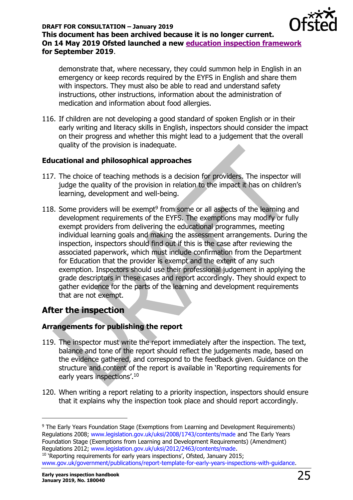

demonstrate that, where necessary, they could summon help in English in an emergency or keep records required by the EYFS in English and share them with inspectors. They must also be able to read and understand safety instructions, other instructions, information about the administration of medication and information about food allergies.

116. If children are not developing a good standard of spoken English or in their early writing and literacy skills in English, inspectors should consider the impact on their progress and whether this might lead to a judgement that the overall quality of the provision is inadequate.

# <span id="page-24-0"></span>**Educational and philosophical approaches**

- 117. The choice of teaching methods is a decision for providers. The inspector will judge the quality of the provision in relation to the impact it has on children's learning, development and well-being.
- 118. Some providers will be exempt $9$  from some or all aspects of the learning and development requirements of the EYFS. The exemptions may modify or fully exempt providers from delivering the educational programmes, meeting individual learning goals and making the assessment arrangements. During the inspection, inspectors should find out if this is the case after reviewing the associated paperwork, which must include confirmation from the Department for Education that the provider is exempt and the extent of any such exemption. Inspectors should use their professional judgement in applying the grade descriptors in these cases and report accordingly. They should expect to gather evidence for the parts of the learning and development requirements that are not exempt.

# <span id="page-24-1"></span>**After the inspection**

# <span id="page-24-2"></span>**Arrangements for publishing the report**

- 119. The inspector must write the report immediately after the inspection. The text, balance and tone of the report should reflect the judgements made, based on the evidence gathered, and correspond to the feedback given. Guidance on the structure and content of the report is available in 'Reporting requirements for early years inspections'.<sup>10</sup>
- 120. When writing a report relating to a priority inspection, inspectors should ensure that it explains why the inspection took place and should report accordingly.

<sup>9</sup> The Early Years Foundation Stage (Exemptions from Learning and Development Requirements) Regulations 2008; [www.legislation.gov.uk/uksi/2008/1743/contents/made](http://www.legislation.gov.uk/uksi/2008/1743/contents/made) and The Early Years Foundation Stage (Exemptions from Learning and Development Requirements) (Amendment) Regulations 2012; [www.legislation.gov.uk/uksi/2012/2463/contents/made.](http://www.legislation.gov.uk/uksi/2012/2463/contents/made)

<sup>&</sup>lt;sup>10</sup> 'Reporting requirements for early years inspections', Ofsted, January 2015; [www.gov.uk/government/publications/report-template-for-early-years-inspections-with-guidance.](http://www.gov.uk/government/publications/report-template-for-early-years-inspections-with-guidance)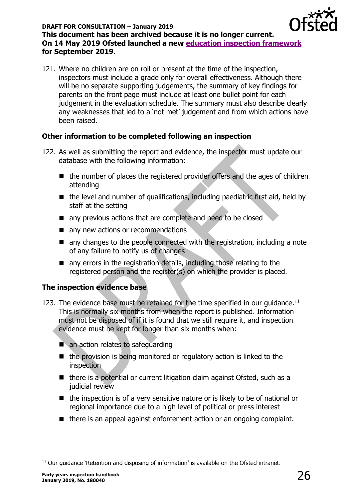

121. Where no children are on roll or present at the time of the inspection, inspectors must include a grade only for overall effectiveness. Although there will be no separate supporting judgements, the summary of key findings for parents on the front page must include at least one bullet point for each judgement in the evaluation schedule. The summary must also describe clearly any weaknesses that led to a 'not met' judgement and from which actions have been raised.

# <span id="page-25-0"></span>**Other information to be completed following an inspection**

- 122. As well as submitting the report and evidence, the inspector must update our database with the following information:
	- the number of places the registered provider offers and the ages of children attending
	- $\blacksquare$  the level and number of qualifications, including paediatric first aid, held by staff at the setting
	- any previous actions that are complete and need to be closed
	- any new actions or recommendations
	- any changes to the people connected with the registration, including a note of any failure to notify us of changes
	- any errors in the registration details, including those relating to the registered person and the register(s) on which the provider is placed.

### <span id="page-25-1"></span>**The inspection evidence base**

- 123. The evidence base must be retained for the time specified in our quidance.<sup>11</sup> This is normally six months from when the report is published. Information must not be disposed of if it is found that we still require it, and inspection evidence must be kept for longer than six months when:
	- an action relates to safeguarding
	- the provision is being monitored or regulatory action is linked to the inspection
	- there is a potential or current litigation claim against Ofsted, such as a judicial review
	- the inspection is of a very sensitive nature or is likely to be of national or regional importance due to a high level of political or press interest
	- there is an appeal against enforcement action or an ongoing complaint.

<sup>&</sup>lt;sup>11</sup> Our guidance 'Retention and disposing of information' is available on the Ofsted intranet.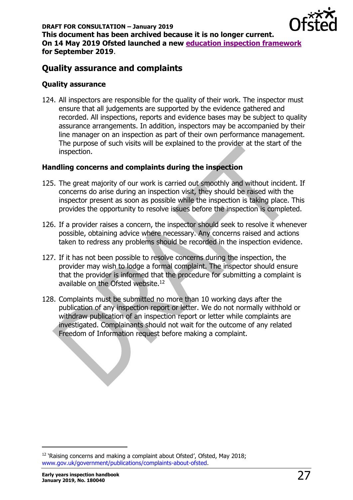

# <span id="page-26-0"></span>**Quality assurance and complaints**

### <span id="page-26-1"></span>**Quality assurance**

124. All inspectors are responsible for the quality of their work. The inspector must ensure that all judgements are supported by the evidence gathered and recorded. All inspections, reports and evidence bases may be subject to quality assurance arrangements. In addition, inspectors may be accompanied by their line manager on an inspection as part of their own performance management. The purpose of such visits will be explained to the provider at the start of the inspection.

### <span id="page-26-2"></span>**Handling concerns and complaints during the inspection**

- 125. The great majority of our work is carried out smoothly and without incident. If concerns do arise during an inspection visit, they should be raised with the inspector present as soon as possible while the inspection is taking place. This provides the opportunity to resolve issues before the inspection is completed.
- 126. If a provider raises a concern, the inspector should seek to resolve it whenever possible, obtaining advice where necessary. Any concerns raised and actions taken to redress any problems should be recorded in the inspection evidence.
- 127. If it has not been possible to resolve concerns during the inspection, the provider may wish to lodge a formal complaint. The inspector should ensure that the provider is informed that the procedure for submitting a complaint is available on the Ofsted website.<sup>12</sup>
- 128. Complaints must be submitted no more than 10 working days after the publication of any inspection report or letter. We do not normally withhold or withdraw publication of an inspection report or letter while complaints are investigated. Complainants should not wait for the outcome of any related Freedom of Information request before making a complaint.

<sup>&</sup>lt;sup>12</sup> 'Raising concerns and making a complaint about Ofsted', Ofsted, May 2018; [www.gov.uk/government/publications/complaints-about-ofsted.](http://www.gov.uk/government/publications/complaints-about-ofsted)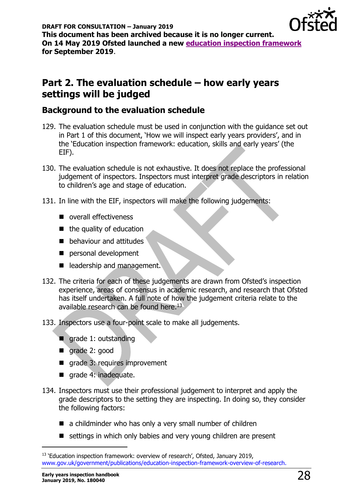

# <span id="page-27-0"></span>**Part 2. The evaluation schedule – how early years settings will be judged**

# <span id="page-27-1"></span>**Background to the evaluation schedule**

- 129. The evaluation schedule must be used in conjunction with the guidance set out in Part 1 of this document, 'How we will inspect early years providers', and in the 'Education inspection framework: education, skills and early years' (the EIF).
- 130. The evaluation schedule is not exhaustive. It does not replace the professional judgement of inspectors. Inspectors must interpret grade descriptors in relation to children's age and stage of education.
- 131. In line with the EIF, inspectors will make the following judgements:
	- overall effectiveness
	- $\blacksquare$  the quality of education
	- behaviour and attitudes
	- personal development
	- leadership and management.
- 132. The criteria for each of these judgements are drawn from Ofsted's inspection experience, areas of consensus in academic research, and research that Ofsted has itself undertaken. A full note of how the judgement criteria relate to the available research can be found here.<sup>13</sup>
- 133. Inspectors use a four-point scale to make all judgements.
	- grade 1: outstanding
	- grade 2: good
	- grade 3: requires improvement
	- grade 4: inadequate.
- 134. Inspectors must use their professional judgement to interpret and apply the grade descriptors to the setting they are inspecting. In doing so, they consider the following factors:
	- $\blacksquare$  a childminder who has only a very small number of children
	- settings in which only babies and very young children are present

<sup>&</sup>lt;sup>13</sup> 'Education inspection framework: overview of research', Ofsted, January 2019, [www.gov.uk/government/publications/education-inspection-framework-overview-of-research.](http://www.gov.uk/government/publications/education-inspection-framework-overview-of-research)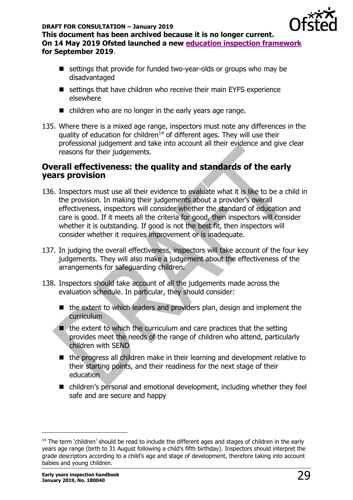

**This document has been archived because it is no longer current. On 14 May 2019 Ofsted launched a new [education inspection framework](https://www.gov.uk/government/collections/education-inspection-framework) for September 2019**.

- settings that provide for funded two-year-olds or groups who may be disadvantaged
- settings that have children who receive their main EYFS experience elsewhere
- children who are no longer in the early years age range.
- 135. Where there is a mixed age range, inspectors must note any differences in the quality of education for children<sup>14</sup> of different ages. They will use their professional judgement and take into account all their evidence and give clear reasons for their judgements.

# <span id="page-28-0"></span>**Overall effectiveness: the quality and standards of the early years provision**

- 136. Inspectors must use all their evidence to evaluate what it is like to be a child in the provision. In making their judgements about a provider's overall effectiveness, inspectors will consider whether the standard of education and care is good. If it meets all the criteria for good, then inspectors will consider whether it is outstanding. If good is not the best fit, then inspectors will consider whether it requires improvement or is inadequate.
- 137. In judging the overall effectiveness, inspectors will take account of the four key judgements. They will also make a judgement about the effectiveness of the arrangements for safeguarding children.
- 138. Inspectors should take account of all the judgements made across the evaluation schedule. In particular, they should consider:
	- the extent to which leaders and providers plan, design and implement the curriculum
	- the extent to which the curriculum and care practices that the setting provides meet the needs of the range of children who attend, particularly children with SEND
	- the progress all children make in their learning and development relative to their starting points, and their readiness for the next stage of their education
	- children's personal and emotional development, including whether they feel safe and are secure and happy

 $\overline{a}$ 

<sup>&</sup>lt;sup>14</sup> The term 'children' should be read to include the different ages and stages of children in the early years age range (birth to 31 August following a child's fifth birthday). Inspectors should interpret the grade descriptors according to a child's age and stage of development, therefore taking into account babies and young children.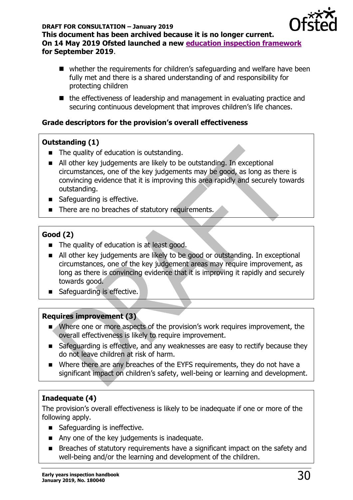

- whether the requirements for children's safeguarding and welfare have been fully met and there is a shared understanding of and responsibility for protecting children
- the effectiveness of leadership and management in evaluating practice and securing continuous development that improves children's life chances.

# <span id="page-29-0"></span>**Grade descriptors for the provision's overall effectiveness**

# **Outstanding (1)**

- The quality of education is outstanding.
- All other key judgements are likely to be outstanding. In exceptional circumstances, one of the key judgements may be good, as long as there is convincing evidence that it is improving this area rapidly and securely towards outstanding.
- Safeguarding is effective.
- There are no breaches of statutory requirements.

# **Good (2)**

- The quality of education is at least good.
- All other key judgements are likely to be good or outstanding. In exceptional circumstances, one of the key judgement areas may require improvement, as long as there is convincing evidence that it is improving it rapidly and securely towards good.
- Safeguarding is effective.

# **Requires improvement (3)**

- Where one or more aspects of the provision's work requires improvement, the overall effectiveness is likely to require improvement.
- Safeguarding is effective, and any weaknesses are easy to rectify because they do not leave children at risk of harm.
- Where there are any breaches of the EYFS requirements, they do not have a significant impact on children's safety, well-being or learning and development.

# **Inadequate (4)**

The provision's overall effectiveness is likely to be inadequate if one or more of the following apply.

- Safeguarding is ineffective.
- Any one of the key judgements is inadequate.
- Breaches of statutory requirements have a significant impact on the safety and well-being and/or the learning and development of the children.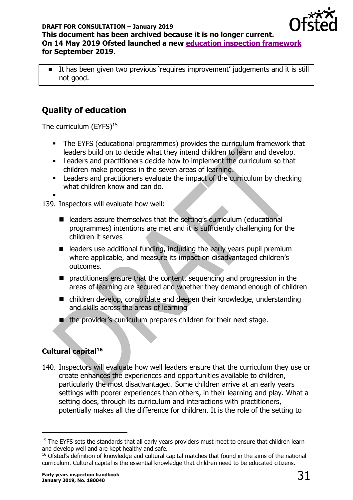

■ It has been given two previous 'requires improvement' judgements and it is still not good.

# <span id="page-30-0"></span>**Quality of education**

<span id="page-30-1"></span>The curriculum (EYFS)<sup>15</sup>

- **•** The EYFS (educational programmes) provides the curriculum framework that leaders build on to decide what they intend children to learn and develop.
- **EXECTE 10 FORDING INTERET A** Leaders and practitioners decide how to implement the curriculum so that children make progress in the seven areas of learning.
- **EXECT** Leaders and practitioners evaluate the impact of the curriculum by checking what children know and can do.

▪ 139. Inspectors will evaluate how well:

- leaders assure themselves that the setting's curriculum (educational programmes) intentions are met and it is sufficiently challenging for the children it serves
- leaders use additional funding, including the early years pupil premium where applicable, and measure its impact on disadvantaged children's outcomes.
- practitioners ensure that the content, sequencing and progression in the areas of learning are secured and whether they demand enough of children
- children develop, consolidate and deepen their knowledge, understanding and skills across the areas of learning
- the provider's curriculum prepares children for their next stage.

# <span id="page-30-2"></span>**Cultural capital<sup>16</sup>**

 $\overline{a}$ 

140. Inspectors will evaluate how well leaders ensure that the curriculum they use or create enhances the experiences and opportunities available to children, particularly the most disadvantaged. Some children arrive at an early years settings with poorer experiences than others, in their learning and play. What a setting does, through its curriculum and interactions with practitioners, potentially makes all the difference for children. It is the role of the setting to

<sup>&</sup>lt;sup>15</sup> The EYFS sets the standards that all early years providers must meet to ensure that children learn and develop well and are kept healthy and safe.

<sup>&</sup>lt;sup>16</sup> Ofsted's definition of knowledge and cultural capital matches that found in the aims of the national curriculum. Cultural capital is the essential knowledge that children need to be educated citizens.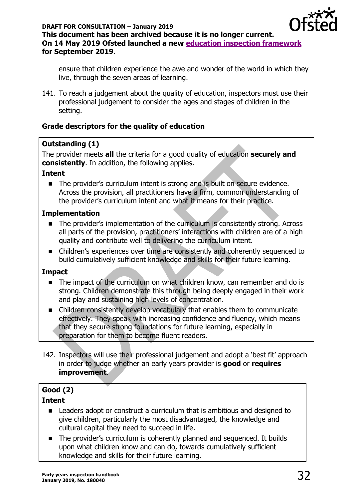

ensure that children experience the awe and wonder of the world in which they live, through the seven areas of learning.

141. To reach a judgement about the quality of education, inspectors must use their professional judgement to consider the ages and stages of children in the setting.

# <span id="page-31-0"></span>**Grade descriptors for the quality of education**

# **Outstanding (1)**

The provider meets **all** the criteria for a good quality of education **securely and consistently**. In addition, the following applies.

# **Intent**

■ The provider's curriculum intent is strong and is built on secure evidence. Across the provision, all practitioners have a firm, common understanding of the provider's curriculum intent and what it means for their practice.

# **Implementation**

- The provider's implementation of the curriculum is consistently strong. Across all parts of the provision, practitioners' interactions with children are of a high quality and contribute well to delivering the curriculum intent.
- Children's experiences over time are consistently and coherently sequenced to build cumulatively sufficient knowledge and skills for their future learning.

### **Impact**

- The impact of the curriculum on what children know, can remember and do is strong. Children demonstrate this through being deeply engaged in their work and play and sustaining high levels of concentration.
- Children consistently develop vocabulary that enables them to communicate effectively. They speak with increasing confidence and fluency, which means that they secure strong foundations for future learning, especially in preparation for them to become fluent readers.
- 142. Inspectors will use their professional judgement and adopt a 'best fit' approach in order to judge whether an early years provider is **good** or **requires improvement**.

# **Good (2)**

# **Intent**

- Leaders adopt or construct a curriculum that is ambitious and designed to give children, particularly the most disadvantaged, the knowledge and cultural capital they need to succeed in life.
- The provider's curriculum is coherently planned and sequenced. It builds upon what children know and can do, towards cumulatively sufficient knowledge and skills for their future learning.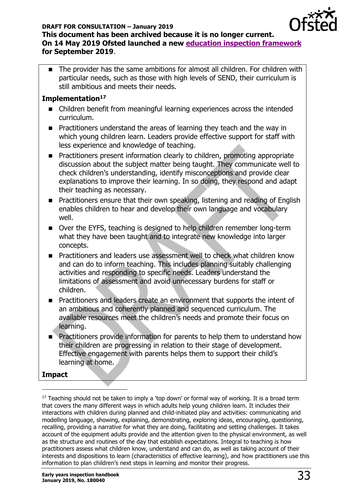

■ The provider has the same ambitions for almost all children. For children with particular needs, such as those with high levels of SEND, their curriculum is still ambitious and meets their needs.

# **Implementation<sup>17</sup>**

- Children benefit from meaningful learning experiences across the intended curriculum.
- Practitioners understand the areas of learning they teach and the way in which young children learn. Leaders provide effective support for staff with less experience and knowledge of teaching.
- Practitioners present information clearly to children, promoting appropriate discussion about the subject matter being taught. They communicate well to check children's understanding, identify misconceptions and provide clear explanations to improve their learning. In so doing, they respond and adapt their teaching as necessary.
- Practitioners ensure that their own speaking, listening and reading of English enables children to hear and develop their own language and vocabulary well.
- Over the EYFS, teaching is designed to help children remember long-term what they have been taught and to integrate new knowledge into larger concepts.
- Practitioners and leaders use assessment well to check what children know and can do to inform teaching. This includes planning suitably challenging activities and responding to specific needs. Leaders understand the limitations of assessment and avoid unnecessary burdens for staff or children.
- Practitioners and leaders create an environment that supports the intent of an ambitious and coherently planned and sequenced curriculum. The available resources meet the children's needs and promote their focus on learning.
- Practitioners provide information for parents to help them to understand how their children are progressing in relation to their stage of development. Effective engagement with parents helps them to support their child's learning at home.

### **Impact**

 $\overline{a}$ 

 $17$  Teaching should not be taken to imply a 'top down' or formal way of working. It is a broad term that covers the many different ways in which adults help young children learn. It includes their interactions with children during planned and child-initiated play and activities: communicating and modelling language, showing, explaining, demonstrating, exploring ideas, encouraging, questioning, recalling, providing a narrative for what they are doing, facilitating and setting challenges. It takes account of the equipment adults provide and the attention given to the physical environment, as well as the structure and routines of the day that establish expectations. Integral to teaching is how practitioners assess what children know, understand and can do, as well as taking account of their interests and dispositions to learn (characteristics of effective learning), and how practitioners use this information to plan children's next steps in learning and monitor their progress.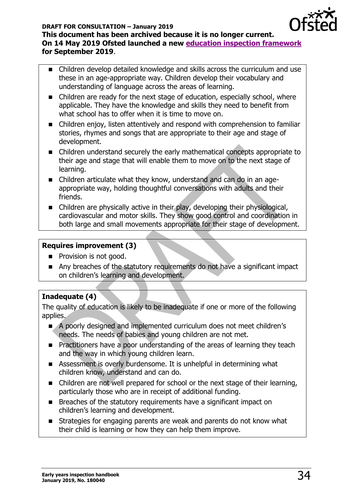

- Children develop detailed knowledge and skills across the curriculum and use these in an age-appropriate way. Children develop their vocabulary and understanding of language across the areas of learning.
- Children are ready for the next stage of education, especially school, where applicable. They have the knowledge and skills they need to benefit from what school has to offer when it is time to move on.
- Children enjoy, listen attentively and respond with comprehension to familiar stories, rhymes and songs that are appropriate to their age and stage of development.
- Children understand securely the early mathematical concepts appropriate to their age and stage that will enable them to move on to the next stage of learning.
- Children articulate what they know, understand and can do in an ageappropriate way, holding thoughtful conversations with adults and their friends.
- Children are physically active in their play, developing their physiological, cardiovascular and motor skills. They show good control and coordination in both large and small movements appropriate for their stage of development.

# **Requires improvement (3)**

- Provision is not good.
- Any breaches of the statutory requirements do not have a significant impact on children's learning and development.

# **Inadequate (4)**

The quality of education is likely to be inadequate if one or more of the following applies.

- A poorly designed and implemented curriculum does not meet children's needs. The needs of babies and young children are not met.
- Practitioners have a poor understanding of the areas of learning they teach and the way in which young children learn.
- Assessment is overly burdensome. It is unhelpful in determining what children know, understand and can do.
- Children are not well prepared for school or the next stage of their learning, particularly those who are in receipt of additional funding.
- Breaches of the statutory requirements have a significant impact on children's learning and development.
- Strategies for engaging parents are weak and parents do not know what their child is learning or how they can help them improve.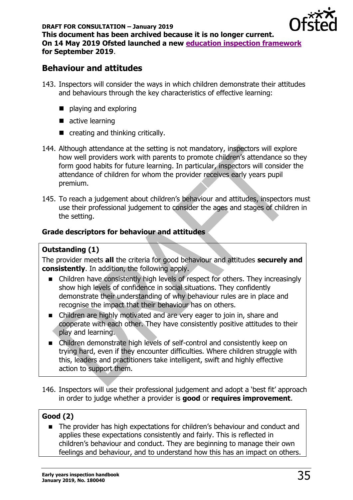

# <span id="page-34-0"></span>**Behaviour and attitudes**

- 143. Inspectors will consider the ways in which children demonstrate their attitudes and behaviours through the key characteristics of effective learning:
	- playing and exploring
	- active learning
	- creating and thinking critically.
- 144. Although attendance at the setting is not mandatory, inspectors will explore how well providers work with parents to promote children's attendance so they form good habits for future learning. In particular, inspectors will consider the attendance of children for whom the provider receives early years pupil premium.
- 145. To reach a judgement about children's behaviour and attitudes, inspectors must use their professional judgement to consider the ages and stages of children in the setting.

# <span id="page-34-1"></span>**Grade descriptors for behaviour and attitudes**

# **Outstanding (1)**

The provider meets **all** the criteria for good behaviour and attitudes **securely and consistently**. In addition, the following apply.

- Children have consistently high levels of respect for others. They increasingly show high levels of confidence in social situations. They confidently demonstrate their understanding of why behaviour rules are in place and recognise the impact that their behaviour has on others.
- Children are highly motivated and are very eager to join in, share and cooperate with each other. They have consistently positive attitudes to their play and learning.
- Children demonstrate high levels of self-control and consistently keep on trying hard, even if they encounter difficulties. Where children struggle with this, leaders and practitioners take intelligent, swift and highly effective action to support them.
- 146. Inspectors will use their professional judgement and adopt a 'best fit' approach in order to judge whether a provider is **good** or **requires improvement**.

# **Good (2)**

■ The provider has high expectations for children's behaviour and conduct and applies these expectations consistently and fairly. This is reflected in children's behaviour and conduct. They are beginning to manage their own feelings and behaviour, and to understand how this has an impact on others.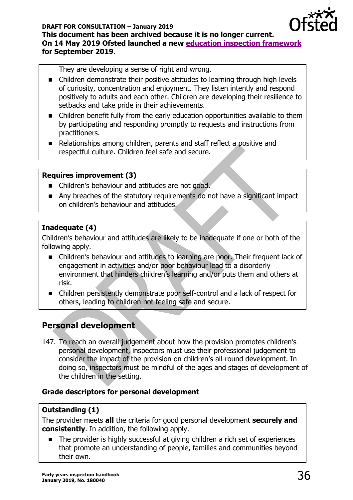

They are developing a sense of right and wrong.

- Children demonstrate their positive attitudes to learning through high levels of curiosity, concentration and enjoyment. They listen intently and respond positively to adults and each other. Children are developing their resilience to setbacks and take pride in their achievements.
- Children benefit fully from the early education opportunities available to them by participating and responding promptly to requests and instructions from practitioners.
- Relationships among children, parents and staff reflect a positive and respectful culture. Children feel safe and secure.

### **Requires improvement (3)**

- Children's behaviour and attitudes are not good.
- Any breaches of the statutory requirements do not have a significant impact on children's behaviour and attitudes.

# **Inadequate (4)**

Children's behaviour and attitudes are likely to be inadequate if one or both of the following apply.

- Children's behaviour and attitudes to learning are poor. Their frequent lack of engagement in activities and/or poor behaviour lead to a disorderly environment that hinders children's learning and/or puts them and others at risk.
- Children persistently demonstrate poor self-control and a lack of respect for others, leading to children not feeling safe and secure.

# <span id="page-35-0"></span>**Personal development**

147. To reach an overall judgement about how the provision promotes children's personal development, inspectors must use their professional judgement to consider the impact of the provision on children's all-round development. In doing so, inspectors must be mindful of the ages and stages of development of the children in the setting.

# <span id="page-35-1"></span>**Grade descriptors for personal development**

# **Outstanding (1)**

The provider meets **all** the criteria for good personal development **securely and consistently**. In addition, the following apply.

■ The provider is highly successful at giving children a rich set of experiences that promote an understanding of people, families and communities beyond their own.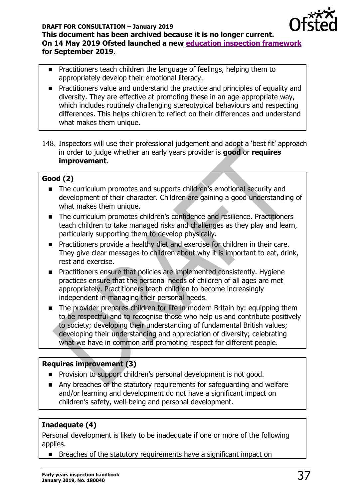

- Practitioners teach children the language of feelings, helping them to appropriately develop their emotional literacy.
- Practitioners value and understand the practice and principles of equality and diversity. They are effective at promoting these in an age-appropriate way, which includes routinely challenging stereotypical behaviours and respecting differences. This helps children to reflect on their differences and understand what makes them unique.
- 148. Inspectors will use their professional judgement and adopt a 'best fit' approach in order to judge whether an early years provider is **good** or **requires improvement**.

# **Good (2)**

- The curriculum promotes and supports children's emotional security and development of their character. Children are gaining a good understanding of what makes them unique.
- The curriculum promotes children's confidence and resilience. Practitioners teach children to take managed risks and challenges as they play and learn, particularly supporting them to develop physically.
- Practitioners provide a healthy diet and exercise for children in their care. They give clear messages to children about why it is important to eat, drink, rest and exercise.
- Practitioners ensure that policies are implemented consistently. Hygiene practices ensure that the personal needs of children of all ages are met appropriately. Practitioners teach children to become increasingly independent in managing their personal needs.
- The provider prepares children for life in modern Britain by: equipping them to be respectful and to recognise those who help us and contribute positively to society; developing their understanding of fundamental British values; developing their understanding and appreciation of diversity; celebrating what we have in common and promoting respect for different people.

# **Requires improvement (3)**

- Provision to support children's personal development is not good.
- Any breaches of the statutory requirements for safeguarding and welfare and/or learning and development do not have a significant impact on children's safety, well-being and personal development.

# **Inadequate (4)**

Personal development is likely to be inadequate if one or more of the following applies.

■ Breaches of the statutory requirements have a significant impact on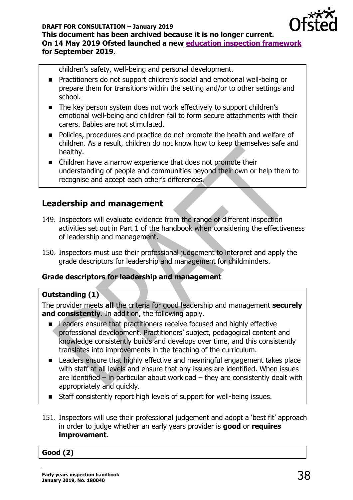

children's safety, well-being and personal development.

- Practitioners do not support children's social and emotional well-being or prepare them for transitions within the setting and/or to other settings and school.
- The key person system does not work effectively to support children's emotional well-being and children fail to form secure attachments with their carers. Babies are not stimulated.
- Policies, procedures and practice do not promote the health and welfare of children. As a result, children do not know how to keep themselves safe and healthy.
- Children have a narrow experience that does not promote their understanding of people and communities beyond their own or help them to recognise and accept each other's differences.

# <span id="page-37-0"></span>**Leadership and management**

- 149. Inspectors will evaluate evidence from the range of different inspection activities set out in Part 1 of the handbook when considering the effectiveness of leadership and management.
- 150. Inspectors must use their professional judgement to interpret and apply the grade descriptors for leadership and management for childminders.

# <span id="page-37-1"></span>**Grade descriptors for leadership and management**

### **Outstanding (1)**

The provider meets **all** the criteria for good leadership and management **securely and consistently**. In addition, the following apply.

- Leaders ensure that practitioners receive focused and highly effective professional development. Practitioners' subject, pedagogical content and knowledge consistently builds and develops over time, and this consistently translates into improvements in the teaching of the curriculum.
- Leaders ensure that highly effective and meaningful engagement takes place with staff at all levels and ensure that any issues are identified. When issues are identified – in particular about workload – they are consistently dealt with appropriately and quickly.
- Staff consistently report high levels of support for well-being issues.
- 151. Inspectors will use their professional judgement and adopt a 'best fit' approach in order to judge whether an early years provider is **good** or **requires improvement**.

### **Good (2)**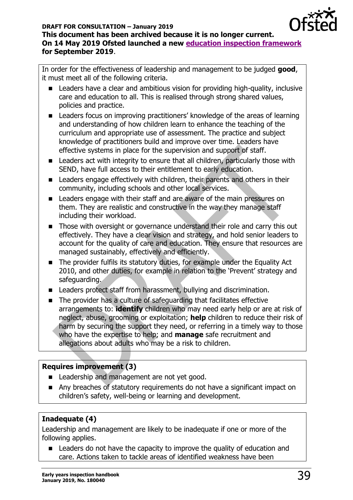

In order for the effectiveness of leadership and management to be judged **good**, it must meet all of the following criteria.

- Leaders have a clear and ambitious vision for providing high-quality, inclusive care and education to all. This is realised through strong shared values, policies and practice.
- Leaders focus on improving practitioners' knowledge of the areas of learning and understanding of how children learn to enhance the teaching of the curriculum and appropriate use of assessment. The practice and subject knowledge of practitioners build and improve over time. Leaders have effective systems in place for the supervision and support of staff.
- Leaders act with integrity to ensure that all children, particularly those with SEND, have full access to their entitlement to early education.
- Leaders engage effectively with children, their parents and others in their community, including schools and other local services.
- Leaders engage with their staff and are aware of the main pressures on them. They are realistic and constructive in the way they manage staff including their workload.
- Those with oversight or governance understand their role and carry this out effectively. They have a clear vision and strategy, and hold senior leaders to account for the quality of care and education. They ensure that resources are managed sustainably, effectively and efficiently.
- The provider fulfils its statutory duties, for example under the Equality Act 2010, and other duties, for example in relation to the 'Prevent' strategy and safeguarding.
- Leaders protect staff from harassment, bullying and discrimination.
- The provider has a culture of safeguarding that facilitates effective arrangements to: **identify** children who may need early help or are at risk of neglect, abuse, grooming or exploitation; **help** children to reduce their risk of harm by securing the support they need, or referring in a timely way to those who have the expertise to help; and **manage** safe recruitment and allegations about adults who may be a risk to children.

# **Requires improvement (3)**

- Leadership and management are not yet good.
- Any breaches of statutory requirements do not have a significant impact on children's safety, well-being or learning and development.

# **Inadequate (4)**

Leadership and management are likely to be inadequate if one or more of the following applies.

■ Leaders do not have the capacity to improve the quality of education and care. Actions taken to tackle areas of identified weakness have been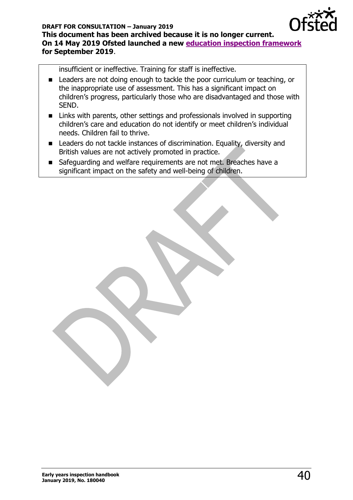

insufficient or ineffective. Training for staff is ineffective.

- Leaders are not doing enough to tackle the poor curriculum or teaching, or the inappropriate use of assessment. This has a significant impact on children's progress, particularly those who are disadvantaged and those with SEND.
- Links with parents, other settings and professionals involved in supporting children's care and education do not identify or meet children's individual needs. Children fail to thrive.
- Leaders do not tackle instances of discrimination. Equality, diversity and British values are not actively promoted in practice.
- Safeguarding and welfare requirements are not met. Breaches have a significant impact on the safety and well-being of children.